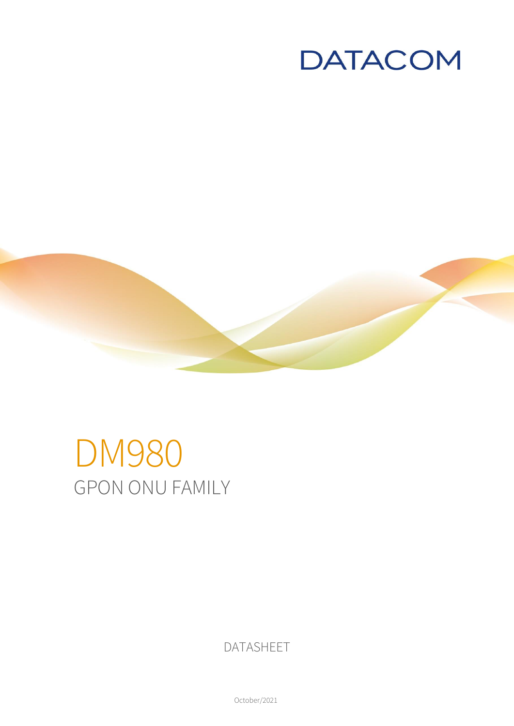



# DM980 GPON ONU FAMILY

DATASHEET

October/2021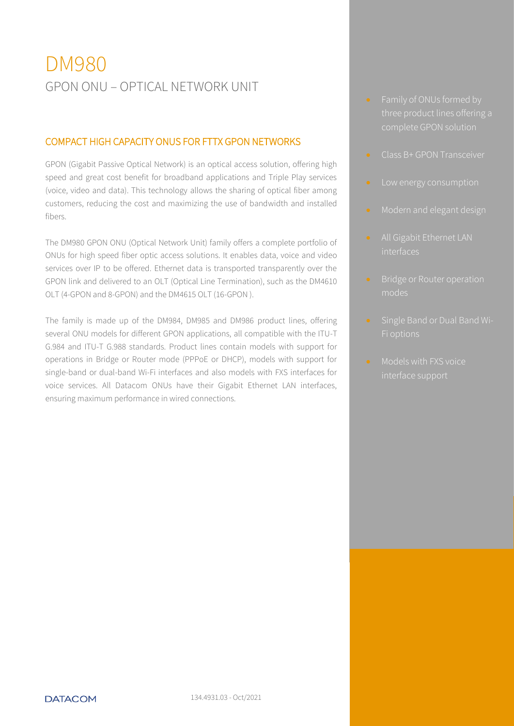# DM980 GPON ONU – OPTICAL NETWORK UNIT

#### COMPACT HIGH CAPACITY ONUS FOR FTTX GPON NETWORKS

GPON (Gigabit Passive Optical Network) is an optical access solution, offering high speed and great cost benefit for broadband applications and Triple Play services (voice, video and data). This technology allows the sharing of optical fiber among customers, reducing the cost and maximizing the use of bandwidth and installed fibers.

The DM980 GPON ONU (Optical Network Unit) family offers a complete portfolio of ONUs for high speed fiber optic access solutions. It enables data, voice and video services over IP to be offered. Ethernet data is transported transparently over the GPON link and delivered to an OLT (Optical Line Termination), such as the DM4610 OLT (4-GPON and 8-GPON) and the DM4615 OLT (16-GPON ).

The family is made up of the DM984, DM985 and DM986 product lines, offering several ONU models for different GPON applications, all compatible with the ITU-T G.984 and ITU-T G.988 standards. Product lines contain models with support for operations in Bridge or Router mode (PPPoE or DHCP), models with support for single-band or dual-band Wi-Fi interfaces and also models with FXS interfaces for voice services. All Datacom ONUs have their Gigabit Ethernet LAN interfaces, ensuring maximum performance in wired connections.

- **•** Family of ONUs formed by three product lines offering a
- **Class B+ GPON Transceiver**
- 
- 
- interfaces
- modes
- 
- **Models with FXS voice**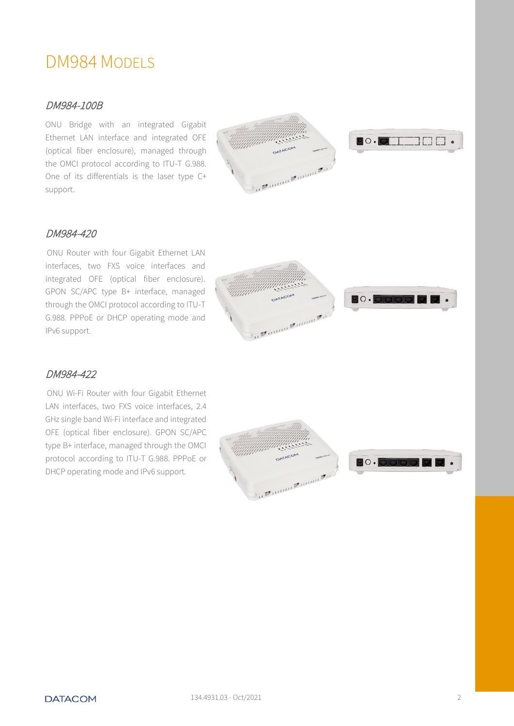### DM984 MODELS

#### DM984-100B

ONU Bridge with an integrated Gigabit Ethernet LAN interface and integrated OFE (optical fiber enclosure), managed through the OMCI protocol according to ITU-T G.988. One of its differentials is the laser type C+ support.



 $\bullet \circ \bullet$  in the set of  $\bullet$ 

#### DM984-420

ONU Router with four Gigabit Ethernet LAN interfaces, two FXS voice interfaces and integrated OFE (optical fiber enclosure). GPON SC/APC type B+ interface, managed through the OMCI protocol according to ITU-T G.988. PPPoE or DHCP operating mode and IPv6 support.



#### DM984-422

ONU Wi-Fi Router with four Gigabit Ethernet LAN interfaces, two FXS voice interfaces, 2.4 GHz single band Wi-Fi interface and integrated OFE (optical fiber enclosure). GPON SC/APC type B+ interface, managed through the OMCI protocol according to ITU-T G.988. PPPoE or DHCP operating mode and IPv6 support.



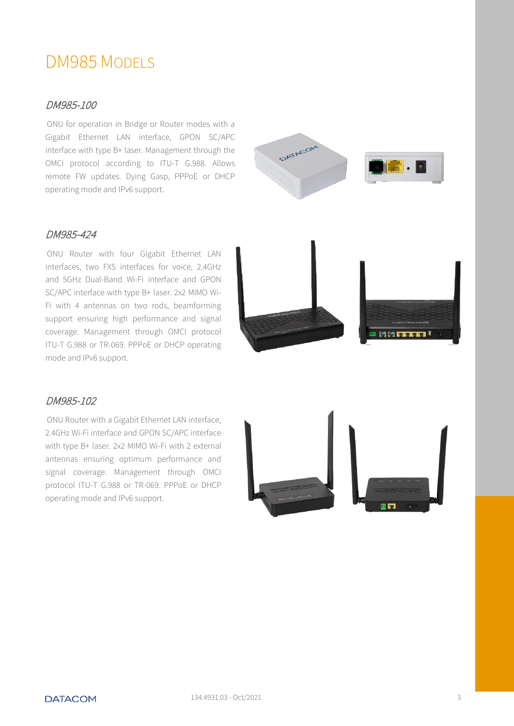## DM985 MODELS

#### DM985-100

ONU for operation in Bridge or Router modes with a Gigabit Ethernet LAN interface, GPON SC/APC interface with type B+ laser. Management through the OMCI protocol according to ITU-T G.988. Allows remote FW updates. Dying Gasp, PPPoE or DHCP operating mode and IPv6 support.



#### DM985-424

ONU Router with four Gigabit Ethernet LAN interfaces, two FXS interfaces for voice, 2.4GHz and 5GHz Dual-Band Wi-Fi interface and GPON SC/APC interface with type B+ laser. 2x2 MIMO Wi-Fi with 4 antennas on two rods, beamforming support ensuring high performance and signal coverage. Management through OMCI protocol ITU-T G.988 or TR-069. PPPoE or DHCP operating mode and IPv6 support.



#### DM985-102

ONU Router with a Gigabit Ethernet LAN interface, 2.4GHz Wi-Fi interface and GPON SC/APC interface with type B+ laser. 2x2 MIMO Wi-Fi with 2 external antennas ensuring optimum performance and signal coverage. Management through OMCI protocol ITU-T G.988 or TR-069. PPPoE or DHCP operating mode and IPv6 support.

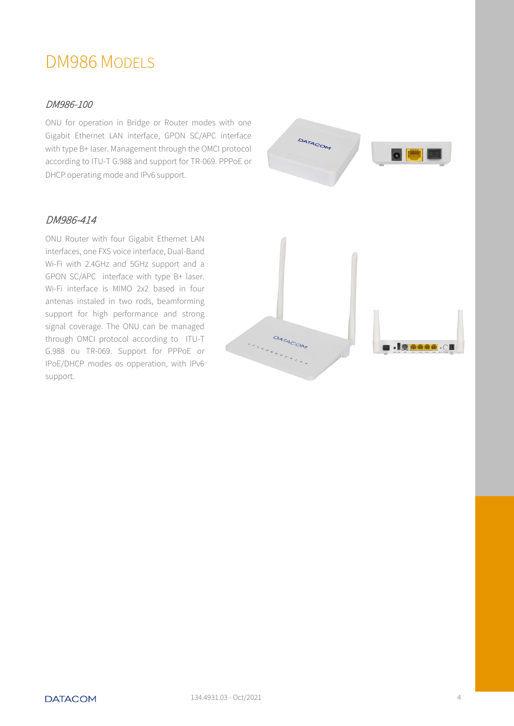## DM986 MODELS

#### DM986-100

ONU for operation in Bridge or Router modes with one Gigabit Ethernet LAN interface, GPON SC/APC interface with type B+ laser. Management through the OMCI protocol according to ITU-T G.988 and support for TR-069. PPPoE or DHCP operating mode and IPv6 support.



#### DM986-414

ONU Router with four Gigabit Ethernet LAN interfaces, one FXS voice interface, Dual-Band Wi-Fi with 2.4GHz and 5GHz support and a GPON SC/APC interface with type B+ laser. Wi-Fi interface is MIMO 2x2 based in four antenas instaled in two rods, beamforming support for high performance and strong signal coverage. The ONU can be managed through OMCI protocol according to ITU-T G.988 ou TR-069. Support for PPPoE or IPoE/DHCP modes os opperation, with IPv6 support.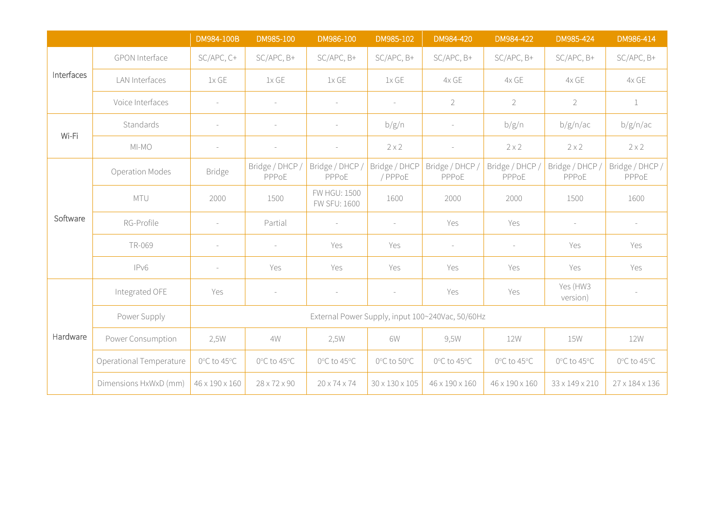|            |                         | DM984-100B                                       | DM985-100                | DM986-100                    | DM985-102                  | DM984-420                | DM984-422                | DM985-424                | DM986-414                |
|------------|-------------------------|--------------------------------------------------|--------------------------|------------------------------|----------------------------|--------------------------|--------------------------|--------------------------|--------------------------|
| Interfaces | GPON Interface          | SC/APC, C+                                       | SC/APC, B+               | SC/APC, B+                   | SC/APC, B+                 | SC/APC, B+               | SC/APC, B+               | SC/APC, B+               | SC/APC, B+               |
|            | LAN Interfaces          | 1x GE                                            | 1xGE                     | 1xGE                         | 1xGE                       | 4x GE                    | 4x GE                    | 4x GE                    | 4x GE                    |
|            | Voice Interfaces        | $\sim$                                           |                          | $\equiv$                     | $\sim$                     | $\overline{2}$           | $\overline{2}$           | $\overline{2}$           | $\mathbf{1}$             |
| Wi-Fi      | Standards               | $\sim$                                           | $\overline{\phantom{a}}$ | $\sim$                       | b/g/n                      | $\overline{\phantom{a}}$ | b/g/n                    | b/g/n/ac                 | b/g/n/ac                 |
|            | $MI-MO$                 | $\sim$                                           |                          | $\overline{\phantom{a}}$     | $2 \times 2$               | $\overline{\phantom{a}}$ | $2 \times 2$             | $2 \times 2$             | $2 \times 2$             |
| Software   | <b>Operation Modes</b>  | <b>Bridge</b>                                    | Bridge / DHCP /<br>PPPoE | Bridge / DHCP /<br>PPPoE     | Bridge / DHCP<br>/ PPPoE   | Bridge / DHCP /<br>PPPoE | Bridge / DHCP,<br>PPPoE  | Bridge / DHCP /<br>PPPoE | Bridge / DHCP /<br>PPPoE |
|            | MTU                     | 2000                                             | 1500                     | FW HGU: 1500<br>FW SFU: 1600 | 1600                       | 2000                     | 2000                     | 1500                     | 1600                     |
|            | RG-Profile              | $\sim$                                           | Partial                  | $\equiv$                     |                            | Yes                      | Yes                      | $\sim$                   | $\overline{\phantom{a}}$ |
|            | TR-069                  | $\sim$                                           | $\sim$                   | Yes                          | Yes                        | $\sim$                   | $\overline{\phantom{a}}$ | Yes                      | Yes                      |
|            | IPv6                    | $\sim$                                           | Yes                      | Yes                          | Yes                        | Yes                      | Yes                      | Yes                      | Yes                      |
| Hardware   | Integrated OFE          | Yes                                              |                          |                              |                            | Yes                      | Yes                      | Yes (HW3<br>version)     |                          |
|            | Power Supply            | External Power Supply, input 100~240Vac, 50/60Hz |                          |                              |                            |                          |                          |                          |                          |
|            | Power Consumption       | 2,5W                                             | 4W                       | 2,5W                         | 6W                         | 9,5W                     | 12W                      | <b>15W</b>               | 12W                      |
|            | Operational Temperature | 0°C to 45°C                                      | 0°C to 45°C              | 0°C to 45°C                  | 0°C to 50°C                | 0°C to 45°C              | 0°C to 45°C              | 0°C to 45°C              | 0°C to 45°C              |
|            | Dimensions HxWxD (mm)   | 46 x 190 x 160                                   | $28 \times 72 \times 90$ | $20 \times 74 \times 74$     | $30 \times 130 \times 105$ | 46 x 190 x 160           | 46 x 190 x 160           | 33 x 149 x 210           | 27 x 184 x 136           |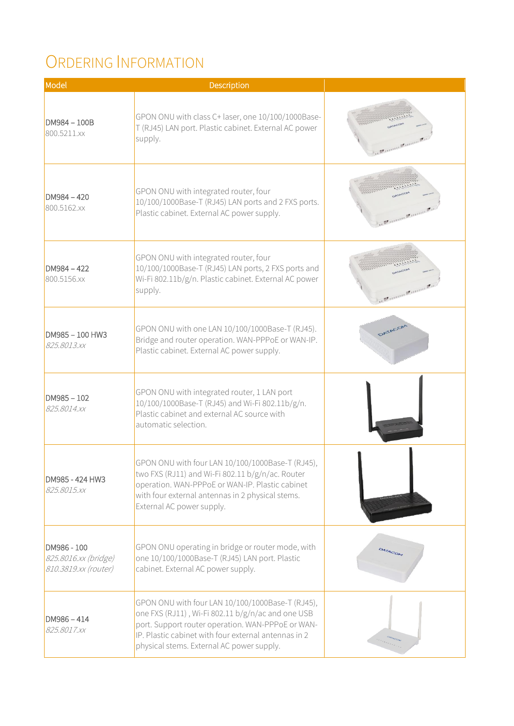# ORDERING INFORMATION

| Model                                                       | Description                                                                                                                                                                                                                                                     |                     |
|-------------------------------------------------------------|-----------------------------------------------------------------------------------------------------------------------------------------------------------------------------------------------------------------------------------------------------------------|---------------------|
| DM984 - 100B<br>800.5211.xx                                 | GPON ONU with class C+ laser, one 10/100/1000Base-<br>T (RJ45) LAN port. Plastic cabinet. External AC power<br>supply.                                                                                                                                          | in Dunner Dunner J. |
| $DM984 - 420$<br>800.5162.xx                                | GPON ONU with integrated router, four<br>10/100/1000Base-T (RJ45) LAN ports and 2 FXS ports.<br>Plastic cabinet. External AC power supply.                                                                                                                      | in Dunne Dunne J.   |
| DM984-422<br>800.5156.xx                                    | GPON ONU with integrated router, four<br>10/100/1000Base-T (RJ45) LAN ports, 2 FXS ports and<br>Wi-Fi 802.11b/g/n. Plastic cabinet. External AC power<br>supply.                                                                                                | in June June 2      |
| DM985-100 HW3<br>825.8013.xx                                | GPON ONU with one LAN 10/100/1000Base-T (RJ45).<br>Bridge and router operation. WAN-PPPoE or WAN-IP.<br>Plastic cabinet. External AC power supply.                                                                                                              | DATACOM             |
| $DM985 - 102$<br>825.8014.xx                                | GPON ONU with integrated router, 1 LAN port<br>10/100/1000Base-T (RJ45) and Wi-Fi 802.11b/g/n.<br>Plastic cabinet and external AC source with<br>automatic selection.                                                                                           |                     |
| DM985 - 424 HW3<br>825.8015.xx                              | GPON ONU with four LAN 10/100/1000Base-T (RJ45),<br>two FXS (RJ11) and Wi-Fi 802.11 b/g/n/ac. Router<br>operation. WAN-PPPoE or WAN-IP. Plastic cabinet<br>with four external antennas in 2 physical stems.<br>External AC power supply.                        |                     |
| DM986 - 100<br>825.8016.xx (bridge)<br>810.3819.xx (router) | GPON ONU operating in bridge or router mode, with<br>one 10/100/1000Base-T (RJ45) LAN port. Plastic<br>cabinet. External AC power supply.                                                                                                                       | DATACOM             |
| $DM986 - 414$<br>825.8017.xx                                | GPON ONU with four LAN 10/100/1000Base-T (RJ45),<br>one FXS (RJ11), Wi-Fi 802.11 b/g/n/ac and one USB<br>port. Support router operation. WAN-PPPoE or WAN-<br>IP. Plastic cabinet with four external antennas in 2<br>physical stems. External AC power supply. |                     |